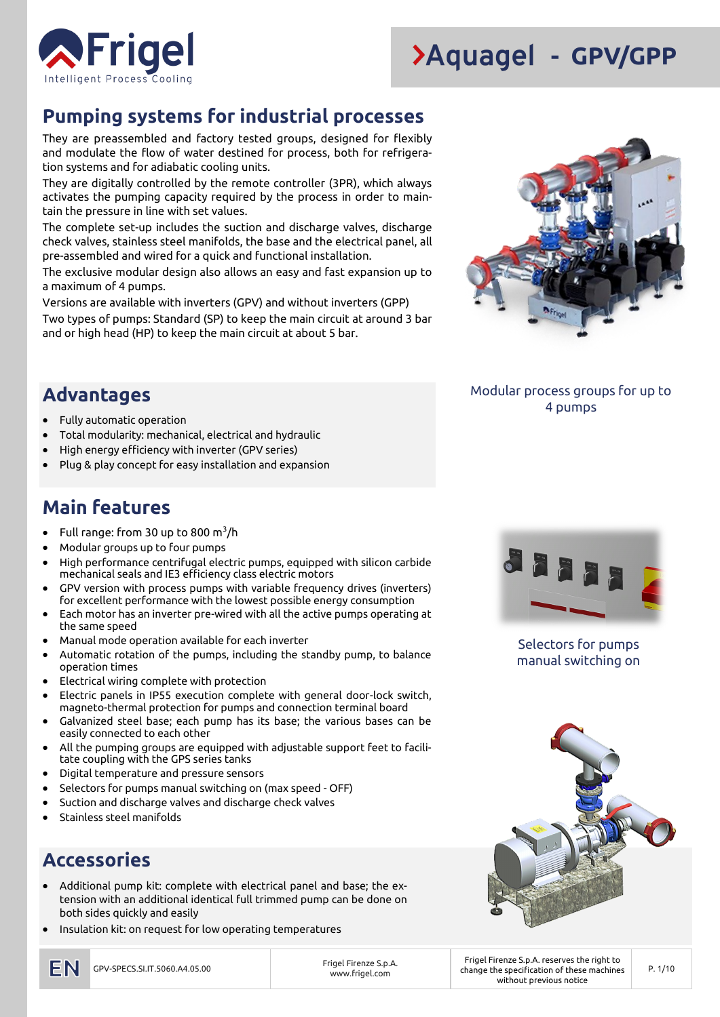

### **Pumping systems for industrial processes**

They are preassembled and factory tested groups, designed for flexibly and modulate the flow of water destined for process, both for refrigeration systems and for adiabatic cooling units.

They are digitally controlled by the remote controller (3PR), which always activates the pumping capacity required by the process in order to maintain the pressure in line with set values.

The complete set-up includes the suction and discharge valves, discharge check valves, stainless steel manifolds, the base and the electrical panel, all pre-assembled and wired for a quick and functional installation.

The exclusive modular design also allows an easy and fast expansion up to a maximum of 4 pumps.

Versions are available with inverters (GPV) and without inverters (GPP) Two types of pumps: Standard (SP) to keep the main circuit at around 3 bar and or high head (HP) to keep the main circuit at about 5 bar.



#### Modular process groups for up to 4 pumps

#### **Advantages**

- Fully automatic operation
- Total modularity: mechanical, electrical and hydraulic
- High energy efficiency with inverter (GPV series)
- Plug & play concept for easy installation and expansion

#### **Main features**

- $\bullet$  Full range: from 30 up to 800 m $^3$ /h
- Modular groups up to four pumps
- High performance centrifugal electric pumps, equipped with silicon carbide mechanical seals and IE3 efficiency class electric motors
- GPV version with process pumps with variable frequency drives (inverters) for excellent performance with the lowest possible energy consumption
- Each motor has an inverter pre-wired with all the active pumps operating at the same speed
- Manual mode operation available for each inverter
- Automatic rotation of the pumps, including the standby pump, to balance operation times
- Electrical wiring complete with protection
- Electric panels in IP55 execution complete with general door-lock switch, magneto-thermal protection for pumps and connection terminal board
- Galvanized steel base; each pump has its base; the various bases can be easily connected to each other
- All the pumping groups are equipped with adjustable support feet to facilitate coupling with the GPS series tanks
- Digital temperature and pressure sensors
- Selectors for pumps manual switching on (max speed OFF)
- Suction and discharge valves and discharge check valves
- Stainless steel manifolds

### **Accessories**

- Additional pump kit: complete with electrical panel and base; the extension with an additional identical full trimmed pump can be done on both sides quickly and easily
- Insulation kit: on request for low operating temperatures



Selectors for pumps manual switching on



www.frigel.com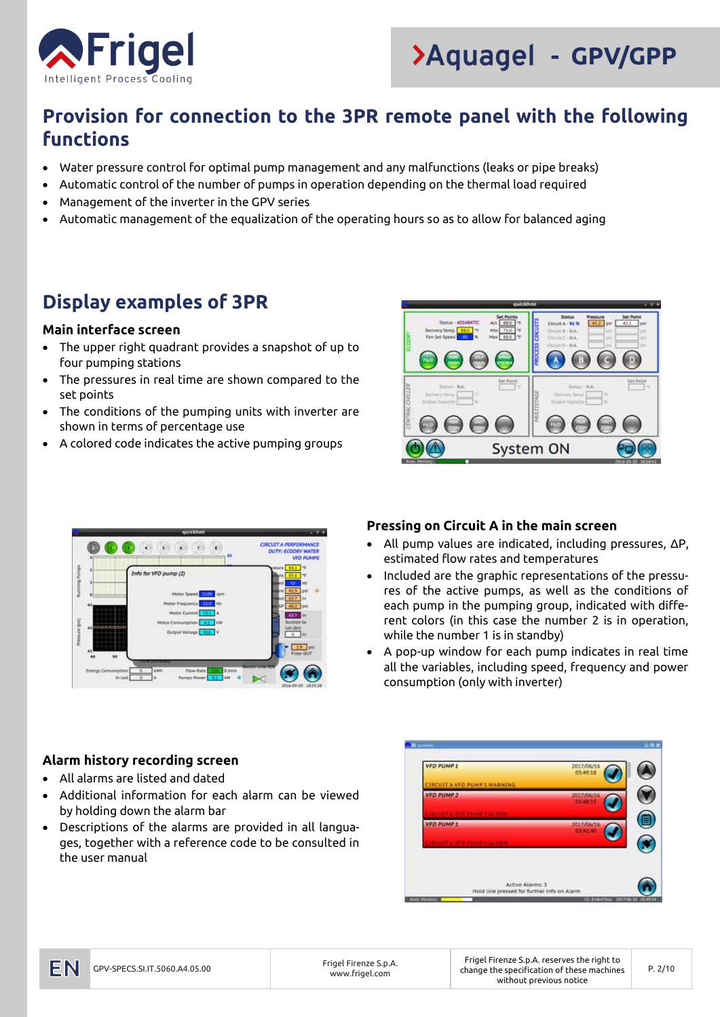



### **Provision for connection to the 3PR remote panel with the following functions**

- Water pressure control for optimal pump management and any malfunctions (leaks or pipe breaks)
- Automatic control of the number of pumps in operation depending on the thermal load required
- Management of the inverter in the GPV series
- Automatic management of the equalization of the operating hours so as to allow for balanced aging

### **Display examples of 3PR**

#### **Main interface screen**

- The upper right quadrant provides a snapshot of up to four pumping stations
- The pressures in real time are shown compared to the set points
- The conditions of the pumping units with inverter are shown in terms of percentage use
- A colored code indicates the active pumping groups





#### **Pressing on Circuit A in the main screen**

- All pump values are indicated, including pressures, ΔP, estimated flow rates and temperatures
- Included are the graphic representations of the pressures of the active pumps, as well as the conditions of each pump in the pumping group, indicated with different colors (in this case the number 2 is in operation, while the number 1 is in standby)
- A pop-up window for each pump indicates in real time all the variables, including speed, frequency and power consumption (only with inverter)

#### **Alarm history recording screen**

- All alarms are listed and dated
- Additional information for each alarm can be viewed by holding down the alarm bar
- Descriptions of the alarms are provided in all languages, together with a reference code to be consulted in the user manual

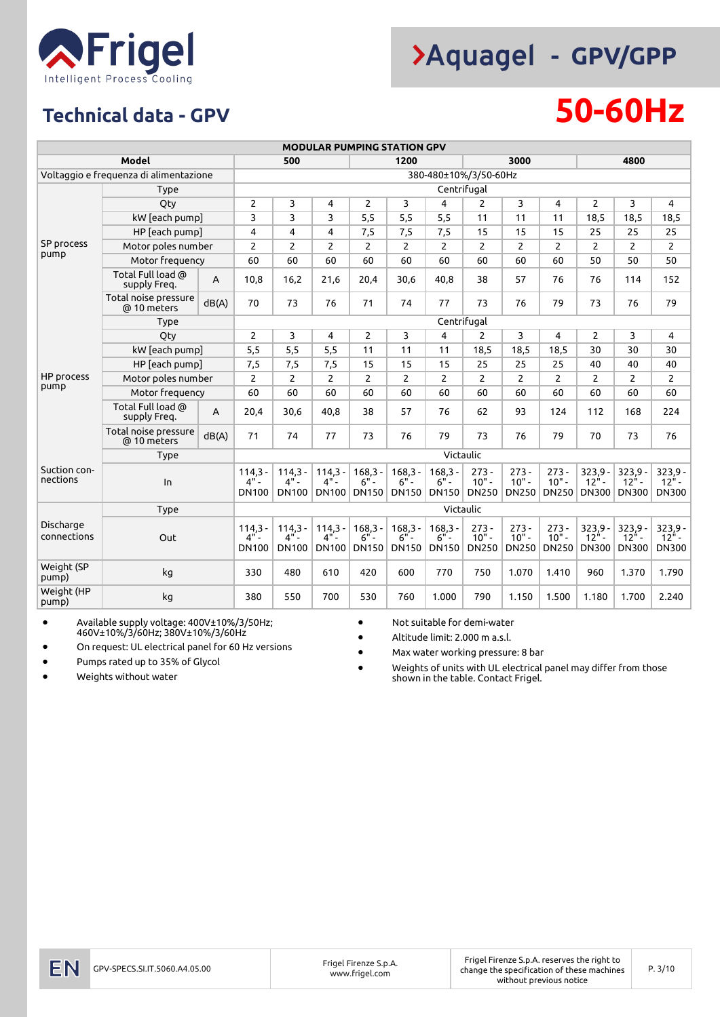

## **Technical data - GPV 50-60Hz**

|                                        |                                     |       |                                     |                                     |                                                   |                                     | <b>MODULAR PUMPING STATION GPV</b>  |                                     |                                    |                                    |                                    |                                                   |                                                   |                                         |  |
|----------------------------------------|-------------------------------------|-------|-------------------------------------|-------------------------------------|---------------------------------------------------|-------------------------------------|-------------------------------------|-------------------------------------|------------------------------------|------------------------------------|------------------------------------|---------------------------------------------------|---------------------------------------------------|-----------------------------------------|--|
|                                        | Model                               |       |                                     | 500                                 |                                                   | 1200<br>3000                        |                                     |                                     |                                    |                                    |                                    | 4800                                              |                                                   |                                         |  |
| Voltaggio e freguenza di alimentazione |                                     |       |                                     |                                     |                                                   |                                     |                                     |                                     | 380-480±10%/3/50-60Hz              |                                    |                                    |                                                   |                                                   |                                         |  |
|                                        | <b>Type</b>                         |       |                                     |                                     |                                                   |                                     |                                     |                                     | Centrifugal                        |                                    |                                    |                                                   |                                                   |                                         |  |
|                                        | Qty                                 |       | $\overline{2}$                      | 3                                   | 4                                                 | $\overline{c}$                      | 3                                   | 4                                   | $\overline{2}$                     | 3                                  | $\overline{4}$                     | $\overline{2}$                                    | 3                                                 | $\overline{4}$                          |  |
|                                        | kW [each pump]                      |       | 3                                   | 3                                   | 3                                                 | 5,5                                 | 5,5                                 | 5,5                                 | 11                                 | 11                                 | 11                                 | 18,5                                              | 18,5                                              | 18,5                                    |  |
|                                        | HP [each pump]                      |       | 4                                   | 4                                   | 4                                                 | 7,5                                 | 7,5                                 | 7,5                                 | 15                                 | 15                                 | 15                                 | 25                                                | 25                                                | 25                                      |  |
| SP process                             | Motor poles number                  |       | $\overline{2}$                      | $\overline{2}$                      | 2                                                 | 2                                   | $\overline{2}$                      | 2                                   | $\overline{2}$                     | $\overline{2}$                     | 2                                  | $\overline{2}$                                    | $\overline{2}$                                    | $\overline{2}$                          |  |
| pump                                   | Motor frequency                     |       | 60                                  | 60                                  | 60                                                | 60                                  | 60                                  | 60                                  | 60                                 | 60                                 | 60                                 | 50                                                | 50                                                | 50                                      |  |
|                                        | Total Full load @<br>supply Freq.   | A     | 10,8                                | 16,2                                | 21,6                                              | 20,4                                | 30,6                                | 40,8                                | 38                                 | 57                                 | 76                                 | 76                                                | 114                                               | 152                                     |  |
|                                        | Total noise pressure<br>@ 10 meters | dB(A) | 70                                  | 73                                  | 76                                                | 71                                  | 74                                  | 77                                  | 73                                 | 76                                 | 79                                 | 73                                                | 76                                                | 79                                      |  |
|                                        | Type                                |       | Centrifugal                         |                                     |                                                   |                                     |                                     |                                     |                                    |                                    |                                    |                                                   |                                                   |                                         |  |
|                                        | Qty                                 |       | $\overline{2}$                      | 3                                   | 4                                                 | 2                                   | 3                                   | 4                                   | $\overline{2}$                     | 3                                  | 4                                  | $\overline{2}$                                    | 3                                                 | $\overline{4}$                          |  |
|                                        | kW [each pump]                      |       | 5,5                                 | 5,5                                 | 5,5                                               | 11                                  | 11                                  | 11                                  | 18,5                               | 18.5                               | 18,5                               | 30                                                | 30                                                | 30                                      |  |
|                                        | HP [each pump]                      |       | 7,5                                 | 7,5                                 | 7,5                                               | 15                                  | 15                                  | 15                                  | 25                                 | 25                                 | 25                                 | 40                                                | 40                                                | 40                                      |  |
| HP process                             | Motor poles number                  |       | $\overline{2}$                      | 2                                   | $\overline{2}$                                    | $\overline{c}$                      | $\overline{2}$                      | $\overline{c}$                      | $\overline{2}$                     | $\overline{2}$                     | $\overline{2}$                     | 2                                                 | $\overline{2}$                                    | $\overline{2}$                          |  |
| pump                                   | Motor frequency                     | 60    | 60                                  | 60                                  | 60                                                | 60                                  | 60                                  | 60                                  | 60                                 | 60                                 | 60                                 | 60                                                | 60                                                |                                         |  |
|                                        | Total Full load @<br>supply Freq.   | A     | 20,4                                | 30.6                                | 40.8                                              | 38                                  | 57                                  | 76                                  | 62                                 | 93                                 | 124                                | 112                                               | 168                                               | 224                                     |  |
|                                        | Total noise pressure<br>@ 10 meters | dB(A) | 71                                  | 74                                  | 77                                                | 73                                  | 76                                  | 79                                  | 73                                 | 76                                 | 79                                 | 70                                                | 73                                                | 76                                      |  |
|                                        | Type                                |       | Victaulic                           |                                     |                                                   |                                     |                                     |                                     |                                    |                                    |                                    |                                                   |                                                   |                                         |  |
| Suction con-<br>nections               | In                                  |       | $114,3 -$<br>$4"$ -<br><b>DN100</b> | $114,3 -$<br>4" -<br><b>DN100</b>   | $114,3 -$<br>$4^{\prime\prime}$ -<br><b>DN100</b> | $168,3 -$<br>$6"$ -<br><b>DN150</b> | $168,3 -$<br>$6" -$<br><b>DN150</b> | $168,3 -$<br>$6"$ -<br>DN150        | $273 -$<br>$10" -$<br><b>DN250</b> | $273 -$<br>$10" -$<br>DN250        | $273 -$<br>$10" -$<br><b>DN250</b> | $323,9 -$<br>$12" -$<br><b>DN300</b>              | $323,9 -$<br>$12" -$<br><b>DN300</b>              | $323,9 -$<br>$12^{n}$ -<br><b>DN300</b> |  |
|                                        | <b>Type</b>                         |       |                                     |                                     |                                                   |                                     |                                     | Victaulic                           |                                    |                                    |                                    |                                                   |                                                   |                                         |  |
| Discharge<br>connections               | Out                                 |       | $114,3 -$<br>$4"$ -<br><b>DN100</b> | $114,3 -$<br>$4"$ -<br><b>DN100</b> | $114,3 -$<br>$4"$ -<br>DN100                      | $168,3 -$<br>$6" -$<br><b>DN150</b> | $168,3 -$<br>$6"$ -<br><b>DN150</b> | $168,3 -$<br>$6"$ -<br><b>DN150</b> | $273 -$<br>$10" -$<br><b>DN250</b> | $273 -$<br>$10" -$<br><b>DN250</b> | $273 -$<br>$10" -$<br><b>DN250</b> | $323,9 -$<br>$12^{\frac{1}{2}}$ -<br><b>DN300</b> | $323,9 -$<br>$12^{\frac{1}{2}}$ -<br><b>DN300</b> | $323,9 -$<br>$12^{n}$ -<br><b>DN300</b> |  |
| Weight (SP<br>pump)                    | kg                                  |       | 330                                 | 480                                 | 610                                               | 420                                 | 600                                 | 770                                 | 750                                | 1.070                              | 1.410                              | 960                                               | 1.370                                             | 1.790                                   |  |
| Weight (HP<br>pump)                    | kg                                  |       | 380                                 | 550                                 | 700                                               | 530                                 | 760                                 | 1.000                               | 790                                | 1.150                              | 1.500                              | 1.180                                             | 1.700                                             | 2.240                                   |  |

• Available supply voltage: 400V±10%/3/50Hz; 460V±10%/3/60Hz; 380V±10%/3/60Hz

• On request: UL electrical panel for 60 Hz versions

• Pumps rated up to 35% of Glycol

• Weights without water

• Not suitable for demi-water

• Altitude limit: 2.000 m a.s.l.

• Max water working pressure: 8 bar

• Weights of units with UL electrical panel may differ from those shown in the table. Contact Frigel.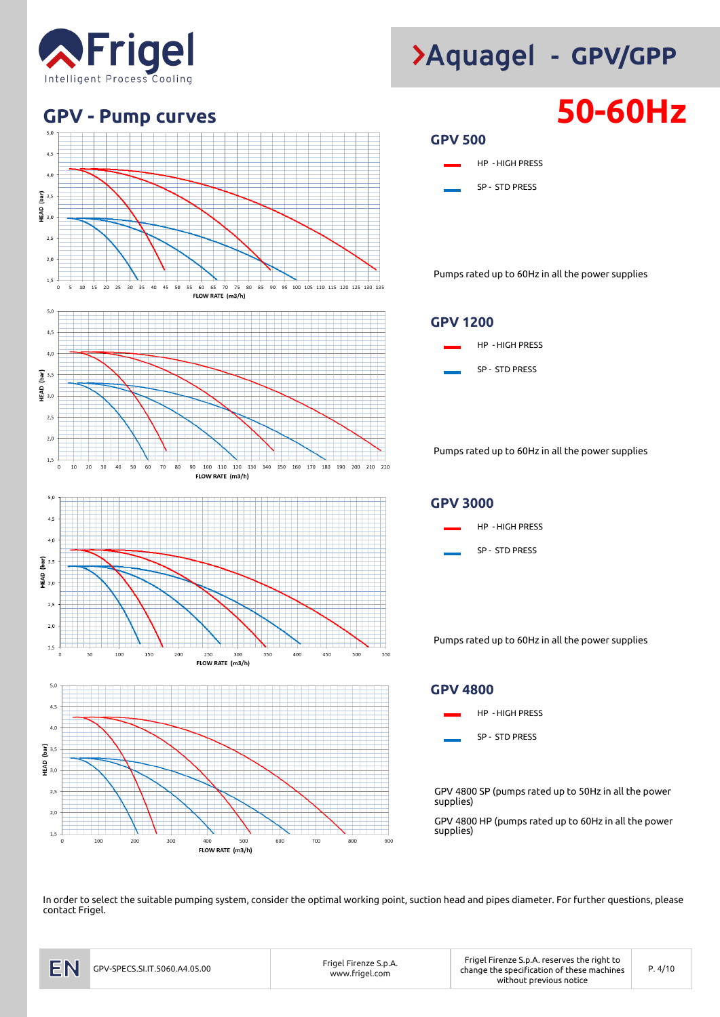



![](_page_3_Figure_4.jpeg)

![](_page_3_Figure_5.jpeg)

![](_page_3_Figure_6.jpeg)

![](_page_3_Figure_7.jpeg)

Pumps rated up to 60Hz in all the power supplies

#### **GPV 1200**

![](_page_3_Figure_10.jpeg)

Pumps rated up to 60Hz in all the power supplies

![](_page_3_Figure_12.jpeg)

Pumps rated up to 60Hz in all the power supplies

#### **GPV 4800**

![](_page_3_Figure_15.jpeg)

GPV 4800 SP (pumps rated up to 50Hz in all the power supplies)

GPV 4800 HP (pumps rated up to 60Hz in all the power supplies)

In order to select the suitable pumping system, consider the optimal working point, suction head and pipes diameter. For further questions, please contact Frigel.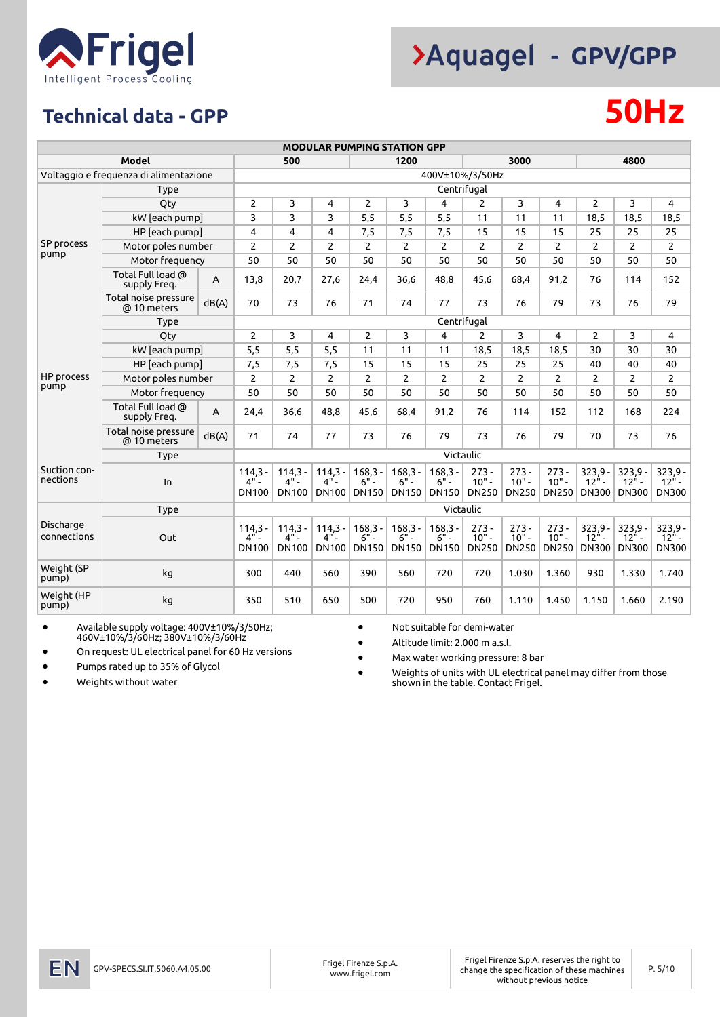![](_page_4_Picture_0.jpeg)

## **Technical data - GPP 50Hz**

|                          |                                        |                |                                     |                                                   |                                     |                                     | <b>MODULAR PUMPING STATION GPP</b>  |                                     |                                    |                                    |                                    |                                                   |                                      |                                      |  |  |
|--------------------------|----------------------------------------|----------------|-------------------------------------|---------------------------------------------------|-------------------------------------|-------------------------------------|-------------------------------------|-------------------------------------|------------------------------------|------------------------------------|------------------------------------|---------------------------------------------------|--------------------------------------|--------------------------------------|--|--|
|                          | Model                                  |                |                                     | 500                                               |                                     |                                     | 1200                                |                                     |                                    | 3000                               |                                    |                                                   | 4800                                 |                                      |  |  |
|                          | Voltaggio e freguenza di alimentazione |                |                                     |                                                   |                                     |                                     |                                     |                                     | 400V±10%/3/50Hz                    |                                    |                                    |                                                   |                                      |                                      |  |  |
|                          | <b>Type</b>                            |                |                                     | Centrifugal                                       |                                     |                                     |                                     |                                     |                                    |                                    |                                    |                                                   |                                      |                                      |  |  |
|                          | Qty                                    | $\overline{2}$ | 3                                   | 4                                                 | $\overline{2}$                      | 3                                   | 4                                   | $\overline{2}$                      | 3                                  | 4                                  | $\overline{2}$                     | 3                                                 | 4                                    |                                      |  |  |
|                          | kW [each pump]                         | 3              | 3                                   | 3                                                 | 5,5                                 | 5,5                                 | 5,5                                 | 11                                  | 11                                 | 11                                 | 18,5                               | 18,5                                              | 18,5                                 |                                      |  |  |
|                          | HP [each pump]                         | 4              | 4                                   | 4                                                 | 7,5                                 | 7,5                                 | 7,5                                 | 15                                  | 15                                 | 15                                 | 25                                 | 25                                                | 25                                   |                                      |  |  |
| SP process<br>pump       | Motor poles number                     |                | $\overline{2}$                      | $\overline{2}$                                    | $\overline{c}$                      | $\overline{2}$                      | $\overline{2}$                      | $\overline{2}$                      | $\overline{2}$                     | $\overline{c}$                     | $\overline{2}$                     | $\overline{2}$                                    | $\overline{2}$                       | $\overline{2}$                       |  |  |
|                          | Motor frequency                        |                | 50                                  | 50                                                | 50                                  | 50                                  | 50                                  | 50                                  | 50                                 | 50                                 | 50                                 | 50                                                | 50                                   | 50                                   |  |  |
|                          | Total Full load @<br>supply Freq.      | $\overline{A}$ | 13,8                                | 20,7                                              | 27,6                                | 24,4                                | 36,6                                | 48,8                                | 45,6                               | 68,4                               | 91,2                               | 76                                                | 114                                  | 152                                  |  |  |
|                          | Total noise pressure<br>@ 10 meters    | dB(A)          | 70                                  | 73                                                | 76                                  | 71                                  | 74                                  | 77                                  | 73                                 | 76                                 | 79                                 | 73                                                | 76                                   | 79                                   |  |  |
|                          | Type                                   |                | Centrifugal                         |                                                   |                                     |                                     |                                     |                                     |                                    |                                    |                                    |                                                   |                                      |                                      |  |  |
|                          | Qty                                    |                | $\overline{2}$                      | 3                                                 | 4                                   | $\overline{2}$                      | 3                                   | 4                                   | $\overline{2}$                     | 3                                  | 4                                  | $\overline{2}$                                    | 3                                    | 4                                    |  |  |
| HP process               | kW [each pump]                         |                | 5,5                                 | 5,5                                               | 5,5                                 | 11                                  | 11                                  | 11                                  | 18,5                               | 18,5                               | 18,5                               | 30                                                | 30                                   | 30                                   |  |  |
|                          | HP [each pump]                         |                | 7,5                                 | 7,5                                               | 7,5                                 | 15                                  | 15                                  | 15                                  | 25                                 | 25                                 | 25                                 | 40                                                | 40                                   | 40                                   |  |  |
|                          | Motor poles number                     |                | $\overline{2}$                      | $\overline{2}$                                    | $\overline{2}$                      | $\overline{c}$                      | $\overline{2}$                      | $\overline{2}$                      | $\overline{2}$                     | $\overline{2}$                     | $\overline{2}$                     | $\overline{c}$                                    | $\overline{2}$                       | $\overline{2}$                       |  |  |
| pump                     | Motor frequency                        |                | 50                                  | 50                                                | 50                                  | 50                                  | 50                                  | 50                                  | 50                                 | 50                                 | 50                                 | 50                                                | 50                                   | 50                                   |  |  |
|                          | Total Full load @<br>supply Freq.      | $\overline{A}$ | 24,4                                | 36,6                                              | 48,8                                | 45,6                                | 68,4                                | 91,2                                | 76                                 | 114                                | 152                                | 112                                               | 168                                  | 224                                  |  |  |
|                          | Total noise pressure<br>@ 10 meters    | dB(A)          | 71                                  | 74                                                | 77                                  | 73                                  | 76                                  | 79                                  | 73                                 | 76                                 | 79                                 | 70                                                | 73                                   | 76                                   |  |  |
|                          | <b>Type</b>                            |                | Victaulic                           |                                                   |                                     |                                     |                                     |                                     |                                    |                                    |                                    |                                                   |                                      |                                      |  |  |
| Suction con-<br>nections | In                                     |                | $114,3 -$<br>$4"$ -<br><b>DN100</b> | $114,3 -$<br>$4" -$<br><b>DN100</b>               | $114,3 -$<br>4"<br>DN100            | $168,3 -$<br>$6"$ -<br><b>DN150</b> | $168,3 -$<br>$6"$ -<br><b>DN150</b> | $168,3 -$<br>$6" -$<br><b>DN150</b> | $273 -$<br>$10" -$<br><b>DN250</b> | $273 -$<br>$10" -$<br>DN250        | $273 -$<br>$10" -$<br><b>DN250</b> | $323,9 -$<br>$12^{\frac{1}{2}}$ -<br><b>DN300</b> | $323,9 -$<br>$12" -$<br><b>DN300</b> | $323,9 -$<br>$12" -$<br><b>DN300</b> |  |  |
|                          | <b>Type</b>                            |                |                                     |                                                   |                                     |                                     |                                     |                                     | Victaulic                          |                                    |                                    |                                                   |                                      |                                      |  |  |
| Discharge<br>connections | Out                                    |                | $114,3 -$<br>$4"$ -<br><b>DN100</b> | $114,3 -$<br>$4^{\prime\prime}$ -<br><b>DN100</b> | $114,3 -$<br>$4"$ -<br><b>DN100</b> | $168,3 -$<br>$6"$ -<br><b>DN150</b> | $168,3 -$<br>$6"$ -<br><b>DN150</b> | $168,3 -$<br>$6"$ -<br><b>DN150</b> | $273 -$<br>$10" -$<br><b>DN250</b> | $273 -$<br>$10" -$<br><b>DN250</b> | $273 -$<br>$10" -$<br><b>DN250</b> | $323.9 -$<br>$12^{\frac{1}{2}}$ -<br><b>DN300</b> | $323.9 -$<br>$12" -$<br><b>DN300</b> | $323,9 -$<br>$12" -$<br><b>DN300</b> |  |  |
| Weight (SP<br>pump)      | kg                                     |                | 300                                 | 440                                               | 560                                 | 390                                 | 560                                 | 720                                 | 720                                | 1.030                              | 1.360                              | 930                                               | 1.330                                | 1.740                                |  |  |
| Weight (HP<br>pump)      | kg                                     |                | 350                                 | 510                                               | 650                                 | 500                                 | 720                                 | 950                                 | 760                                | 1.110                              | 1.450                              | 1.150                                             | 1.660                                | 2.190                                |  |  |

• Available supply voltage: 400V±10%/3/50Hz; 460V±10%/3/60Hz; 380V±10%/3/60Hz

• On request: UL electrical panel for 60 Hz versions

• Pumps rated up to 35% of Glycol

Weights without water

• Not suitable for demi-water

• Altitude limit: 2.000 m a.s.l.

• Max water working pressure: 8 bar

• Weights of units with UL electrical panel may differ from those shown in the table. Contact Frigel.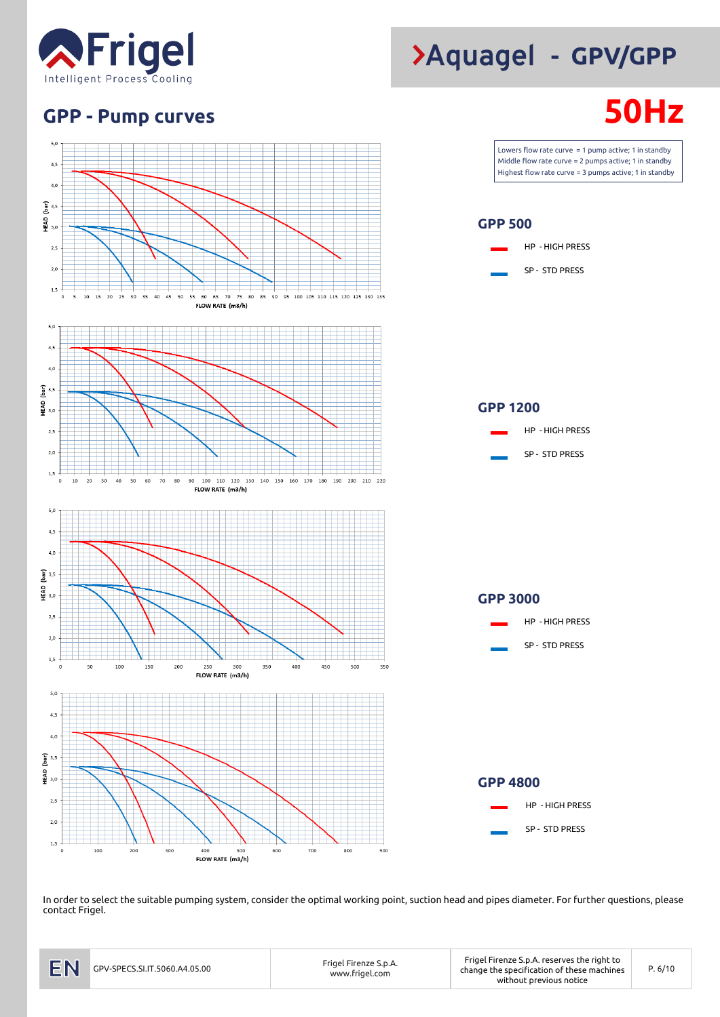![](_page_5_Picture_0.jpeg)

## **GPP - Pump curves 50Hz**

![](_page_5_Figure_2.jpeg)

#### HP - HIGH PRESS SP - STD PRESS

In order to select the suitable pumping system, consider the optimal working point, suction head and pipes diameter. For further questions, please contact Frigel.

# **- GPV/GPP**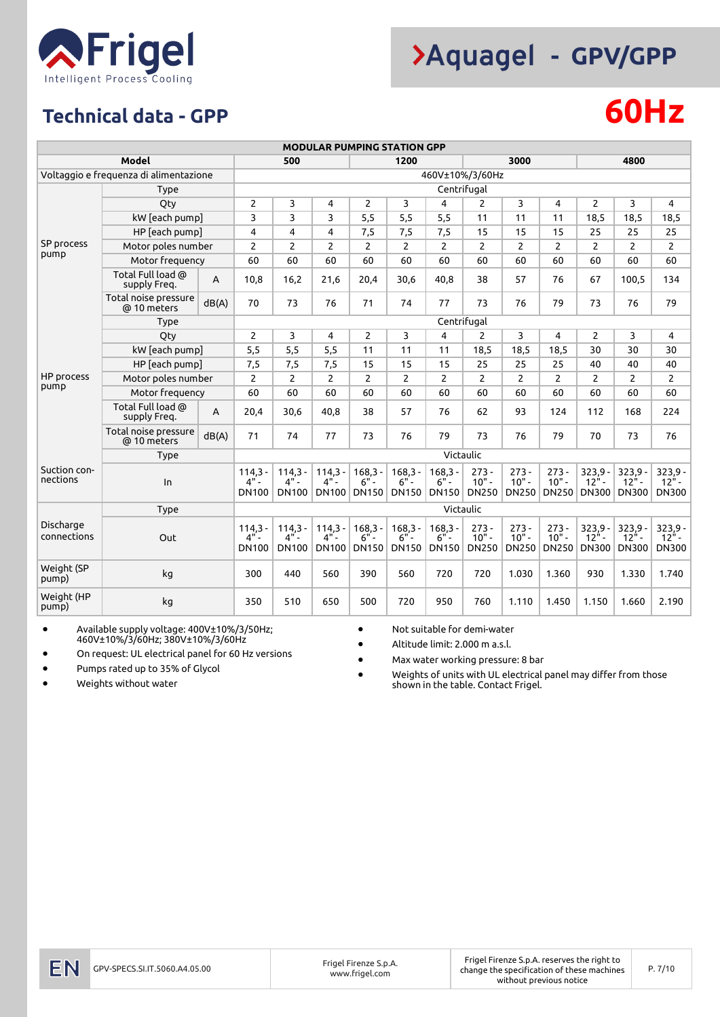![](_page_6_Picture_0.jpeg)

## **Technical data - GPP 60Hz**

|                          | <b>MODULAR PUMPING STATION GPP</b>     |                |                                                   |                                     |                                     |                                     |                                     |                                     |                                    |                                    |                                    |                                                   |                                      |                                         |  |
|--------------------------|----------------------------------------|----------------|---------------------------------------------------|-------------------------------------|-------------------------------------|-------------------------------------|-------------------------------------|-------------------------------------|------------------------------------|------------------------------------|------------------------------------|---------------------------------------------------|--------------------------------------|-----------------------------------------|--|
|                          | Model                                  |                |                                                   | 500                                 |                                     |                                     | 1200                                |                                     |                                    | 3000                               |                                    |                                                   | 4800                                 |                                         |  |
|                          | Voltaggio e freguenza di alimentazione |                |                                                   | 460V±10%/3/60Hz                     |                                     |                                     |                                     |                                     |                                    |                                    |                                    |                                                   |                                      |                                         |  |
|                          | Type                                   |                | Centrifugal                                       |                                     |                                     |                                     |                                     |                                     |                                    |                                    |                                    |                                                   |                                      |                                         |  |
|                          | Qty                                    |                | $\overline{2}$                                    | 3                                   | 4                                   | $\overline{2}$                      | 3                                   | 4                                   | $\overline{2}$                     | 3                                  | 4                                  | $\overline{2}$                                    | 3                                    | 4                                       |  |
|                          | kW [each pump]                         |                | 3                                                 | 3                                   | 3                                   | 5,5                                 | 5,5                                 | 5,5                                 | 11                                 | 11                                 | 11                                 | 18,5                                              | 18,5                                 | 18,5                                    |  |
|                          | HP [each pump]                         |                | 4                                                 | 4                                   | 4                                   | 7,5                                 | 7,5                                 | 7,5                                 | 15                                 | 15                                 | 15                                 | 25                                                | 25                                   | 25                                      |  |
| SP process<br>pump       | Motor poles number                     |                | $\overline{2}$                                    | $\overline{2}$                      | $\overline{2}$                      | $\overline{2}$                      | $\overline{2}$                      | $\overline{2}$                      | $\overline{2}$                     | $\overline{2}$                     | 2                                  | $\overline{2}$                                    | $\overline{2}$                       | $\overline{2}$                          |  |
|                          | Motor frequency                        |                | 60                                                | 60                                  | 60                                  | 60                                  | 60                                  | 60                                  | 60                                 | 60                                 | 60                                 | 60                                                | 60                                   | 60                                      |  |
|                          | Total Full load @<br>supply Freq.      | $\overline{A}$ | 10,8                                              | 16,2                                | 21,6                                | 20,4                                | 30,6                                | 40,8                                | 38                                 | 57                                 | 76                                 | 67                                                | 100,5                                | 134                                     |  |
|                          | Total noise pressure<br>@ 10 meters    | dB(A)          | 70                                                | 73                                  | 76                                  | 71                                  | 74                                  | 77                                  | 73                                 | 76                                 | 79                                 | 73                                                | 76                                   | 79                                      |  |
|                          | Type                                   |                | Centrifugal                                       |                                     |                                     |                                     |                                     |                                     |                                    |                                    |                                    |                                                   |                                      |                                         |  |
|                          | Qty                                    |                | $\overline{2}$                                    | 3                                   | 4                                   | $\overline{2}$                      | 3                                   | 4                                   | $\overline{2}$                     | 3                                  | 4                                  | $\overline{2}$                                    | 3                                    | 4                                       |  |
| HP process               | kW [each pump]                         |                | 5,5                                               | 5,5                                 | 5,5                                 | 11                                  | 11                                  | 11                                  | 18,5                               | 18.5                               | 18,5                               | 30                                                | 30                                   | 30                                      |  |
|                          | HP [each pump]                         |                | 7,5                                               | 7,5                                 | 7,5                                 | 15                                  | 15                                  | 15                                  | 25                                 | 25                                 | 25                                 | 40                                                | 40                                   | 40                                      |  |
|                          | Motor poles number                     |                | $\overline{2}$                                    | $\overline{2}$                      | $\overline{2}$                      | $\overline{2}$                      | $\overline{2}$                      | $\overline{2}$                      | $\overline{2}$                     | $\overline{2}$                     | $\overline{2}$                     | $\overline{2}$                                    | $\overline{2}$                       | $\overline{2}$                          |  |
| pump                     | Motor frequency                        |                | 60                                                | 60                                  | 60                                  | 60                                  | 60                                  | 60                                  | 60                                 | 60                                 | 60                                 | 60                                                | 60                                   | 60                                      |  |
|                          | Total Full load @<br>supply Freq.      | A              | 20,4                                              | 30.6                                | 40.8                                | 38                                  | 57                                  | 76                                  | 62                                 | 93                                 | 124                                | 112                                               | 168                                  | 224                                     |  |
|                          | Total noise pressure<br>@ 10 meters    | dB(A)          | 71                                                | 74                                  | 77                                  | 73                                  | 76                                  | 79                                  | 73                                 | 76                                 | 79                                 | 70                                                | 73                                   | 76                                      |  |
|                          | Type                                   |                | Victaulic                                         |                                     |                                     |                                     |                                     |                                     |                                    |                                    |                                    |                                                   |                                      |                                         |  |
| Suction con-<br>nections | In                                     |                | $114,3 -$<br>$4^{\prime\prime}$ -<br><b>DN100</b> | $114,3 -$<br>$4"$ -<br><b>DN100</b> | $114,3 -$<br>$4"$ -<br>DN100        | $168,3 -$<br>$6"$ -<br><b>DN150</b> | $168,3 -$<br>$6"$ -<br><b>DN150</b> | $168,3 -$<br>$6"$ -<br><b>DN150</b> | $273 -$<br>$10" -$<br><b>DN250</b> | $273 -$<br>$10" -$<br><b>DN250</b> | $273 -$<br>$10" -$<br><b>DN250</b> | $323,9 -$<br>$12^{\frac{1}{2}}$ -<br><b>DN300</b> | $323,9 -$<br>$12" -$<br><b>DN300</b> | $323,9 -$<br>$12" -$<br><b>DN300</b>    |  |
|                          | Type                                   |                |                                                   |                                     |                                     |                                     |                                     | Victaulic                           |                                    |                                    |                                    |                                                   |                                      |                                         |  |
| Discharge<br>connections | Out                                    |                | $114,3 -$<br>$4^{\frac{1}{2}}$<br><b>DN100</b>    | $114.3 -$<br>$4"$ -<br><b>DN100</b> | $114.3 -$<br>$4"$ -<br><b>DN100</b> | $168.3 -$<br>$6"$ -<br><b>DN150</b> | $168,3 -$<br>$6"$ -<br><b>DN150</b> | $168,3 -$<br>$6"$ -<br><b>DN150</b> | $273 -$<br>$10" -$<br><b>DN250</b> | $273 -$<br>$10" -$<br><b>DN250</b> | $273 -$<br>$10" -$<br><b>DN250</b> | $323.9 -$<br>$12^{h}$ -<br><b>DN300</b>           | $323.9 -$<br>$12" -$<br><b>DN300</b> | $323,9 -$<br>$12^{n}$ -<br><b>DN300</b> |  |
| Weight (SP<br>pump)      | kg                                     |                | 300                                               | 440                                 | 560                                 | 390                                 | 560                                 | 720                                 | 720                                | 1.030                              | 1.360                              | 930                                               | 1.330                                | 1.740                                   |  |
| Weight (HP<br>pump)      | kg                                     |                | 350                                               | 510                                 | 650                                 | 500                                 | 720                                 | 950                                 | 760                                | 1.110                              | 1.450                              | 1.150                                             | 1.660                                | 2.190                                   |  |

• Available supply voltage: 400V±10%/3/50Hz; 460V±10%/3/60Hz; 380V±10%/3/60Hz

• On request: UL electrical panel for 60 Hz versions

• Pumps rated up to 35% of Glycol

• Weights without water

• Not suitable for demi-water

• Altitude limit: 2.000 m a.s.l.

• Max water working pressure: 8 bar

• Weights of units with UL electrical panel may differ from those shown in the table. Contact Frigel.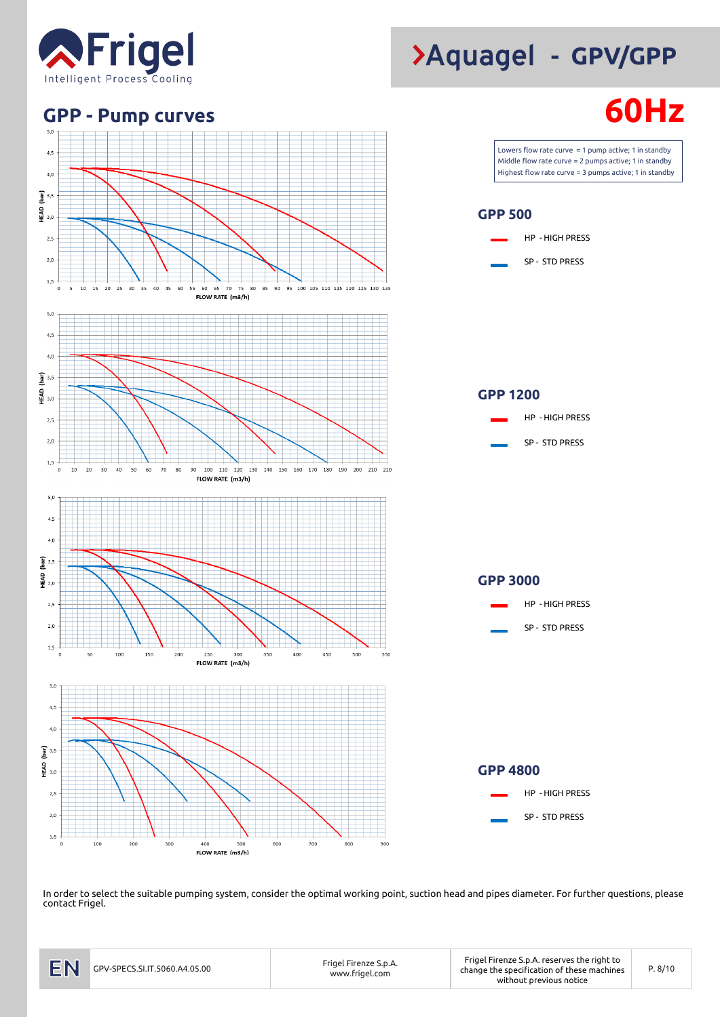![](_page_7_Picture_0.jpeg)

![](_page_7_Figure_1.jpeg)

In order to select the suitable pumping system, consider the optimal working point, suction head and pipes diameter. For further questions, please contact Frigel.

# **- GPV/GPP**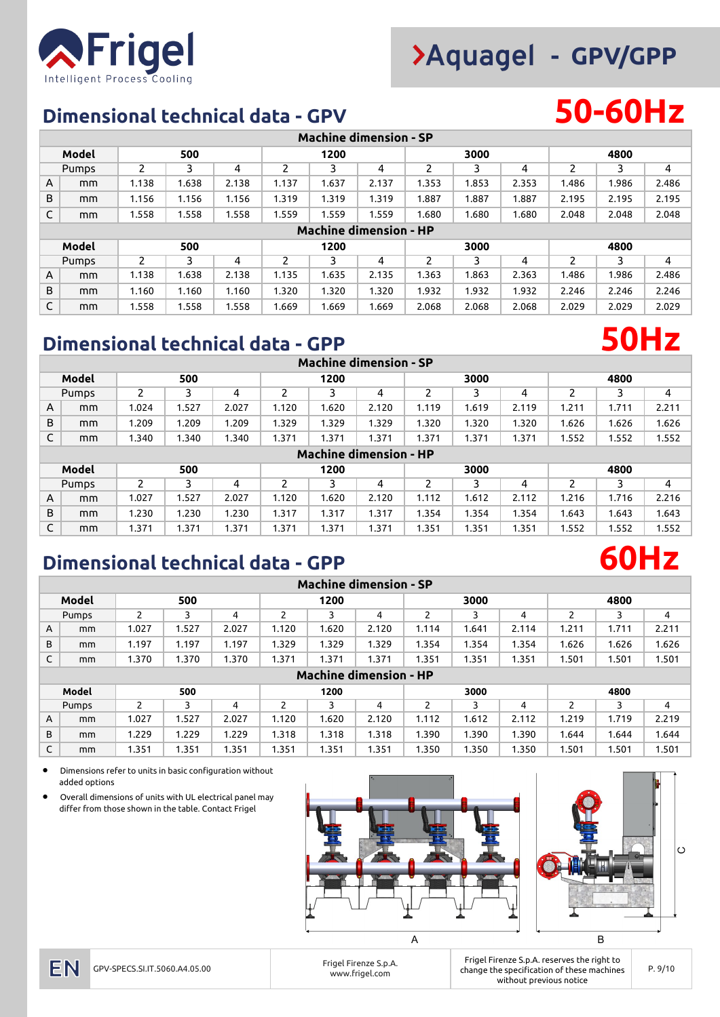![](_page_8_Picture_1.jpeg)

### **Dimensional technical data - GPV 50-60Hz**

|   | <b>Machine dimension - SP</b> |               |       |       |       |       |       |               |       |       |       |       |       |  |
|---|-------------------------------|---------------|-------|-------|-------|-------|-------|---------------|-------|-------|-------|-------|-------|--|
|   | Model                         |               | 500   |       |       | 1200  |       |               | 3000  |       |       | 4800  |       |  |
|   | Pumps                         | $\mathcal{P}$ | 3     | 4     | 2     | 3     | 4     | $\mathcal{P}$ | 3     | 4     | 2     | 3     | 4     |  |
| A | mm                            | 1.138         | 1.638 | 2.138 | 1.137 | 1.637 | 2.137 | 1.353         | 1.853 | 2.353 | 1.486 | 1.986 | 2.486 |  |
| B | mm                            | 1.156         | 1.156 | 1.156 | 1.319 | 1.319 | 1.319 | 1.887         | 1.887 | 1.887 | 2.195 | 2.195 | 2.195 |  |
| C | mm                            | 1.558         | 1.558 | 1.558 | 1.559 | 1.559 | 1.559 | 1.680         | 1.680 | 1.680 | 2.048 | 2.048 | 2.048 |  |
|   | <b>Machine dimension - HP</b> |               |       |       |       |       |       |               |       |       |       |       |       |  |
|   | Model                         | 500           |       |       |       | 1200  |       |               | 3000  |       | 4800  |       |       |  |
|   | Pumps                         | $\mathcal{P}$ | 3     | 4     | 2     | 3     | 4     | 2             | 3     | 4     | 2     | 3     | 4     |  |
| A | mm                            | 1.138         | 1.638 | 2.138 | 1.135 | 1.635 | 2.135 | 1.363         | 1.863 | 2.363 | 1.486 | 1.986 | 2.486 |  |
| B | mm                            | 1.160         | 1.160 | 1.160 | 1.320 | 1.320 | 1.320 | 1.932         | 1.932 | 1.932 | 2.246 | 2.246 | 2.246 |  |
| C | mm                            | 1.558         | 1.558 | 1.558 | 1.669 | 1.669 | 1.669 | 2.068         | 2.068 | 2.068 | 2.029 | 2.029 | 2.029 |  |

### **Dimensional technical data - GPP 50Hz**

|       | <b>Machine dimension - SP</b> |       |       |       |       |       |       |       |       |       |       |       |       |  |
|-------|-------------------------------|-------|-------|-------|-------|-------|-------|-------|-------|-------|-------|-------|-------|--|
|       | Model                         |       | 500   |       |       | 1200  |       |       | 3000  |       |       | 4800  |       |  |
| Pumps |                               |       |       | 4     |       |       | 4     |       |       | 4     |       |       | 4     |  |
| A     | mm                            | 1.024 | 1.527 | 2.027 | 1.120 | 1.620 | 2.120 | 1.119 | 1.619 | 2.119 | 1.211 | 1.711 | 2.211 |  |
| B     | mm                            | 1.209 | 1.209 | 1.209 | 1.329 | 1.329 | 1.329 | 1.320 | 1.320 | .320  | 1.626 | 1.626 | 1.626 |  |
| C     | mm                            | 1.340 | 1.340 | 1.340 | 1.371 | 1.371 | 1.371 | 1.371 | 1.371 | .371  | 1.552 | 1.552 | 1.552 |  |
|       | <b>Machine dimension - HP</b> |       |       |       |       |       |       |       |       |       |       |       |       |  |
| Model |                               | 500   |       |       |       | 1200  |       |       | 3000  |       |       | 4800  |       |  |
| Pumps |                               | າ     | っ     | 4     | ว     |       | 4     |       |       | 4     |       |       | 4     |  |

A mm 1.027 1.527 2.027 1.120 1.620 2.120 1.112 1.612 2.112 1.216 1.716 2.216 B | mm | 1.230 | 1.230 | 1.230 | 1.317 | 1.317 | 1.317 | 1.354 | 1.354 | 1.354 | 1.643 | 1.643 | 1.643 C | mm | 1.371 | 1.371 | 1.371 | 1.371 | 1.371 | 1.371 | 1.351 | 1.351 | 1.351 | 1.552 | 1.552 | 1.552

### **Dimensional technical data - GPP 60Hz**

|       | <b>Machine dimension - SP</b> |       |       |       |       |       |       |       |       |       |       |       |       |  |
|-------|-------------------------------|-------|-------|-------|-------|-------|-------|-------|-------|-------|-------|-------|-------|--|
|       | Model                         |       | 500   |       |       | 1200  |       |       | 3000  |       |       | 4800  |       |  |
| Pumps |                               | 2     | 3     | 4     | 2     | 3     | 4     | 2     | 3     | 4     | ∍     | 3     | 4     |  |
| A     | mm                            | 1.027 | 1.527 | 2.027 | 1.120 | 1.620 | 2.120 | 1.114 | 1.641 | 2.114 | 1.211 | 1.711 | 2.211 |  |
| B     | mm                            | 1.197 | 1.197 | 1.197 | 1.329 | 1.329 | 1.329 | 1.354 | 1.354 | 1.354 | 1.626 | 1.626 | 1.626 |  |
| C     | mm                            | 1.370 | 1.370 | 1.370 | 1.371 | 1.371 | 1.371 | 1.351 | 1.351 | 1.351 | 1.501 | 1.501 | 1.501 |  |
|       | <b>Machine dimension - HP</b> |       |       |       |       |       |       |       |       |       |       |       |       |  |
|       | Model                         | 500   |       |       |       | 1200  |       |       | 3000  |       | 4800  |       |       |  |
| Pumps |                               | 2     | 3     | 4     | 2     | 3     | 4     | 2     | 3     | 4     | っ     | 3     | 4     |  |
| A     | mm                            | 1.027 | 1.527 | 2.027 | 1.120 | 1.620 | 2.120 | 1.112 | 1.612 | 2.112 | 1.219 | 1.719 | 2.219 |  |
| B     | mm                            | 1.229 | 1.229 | 1.229 | 1.318 | 1.318 | 1.318 | 1.390 | 1.390 | 1.390 | 1.644 | 1.644 | 1.644 |  |

C | mm | 1.351 | 1.351 | 1.351 | 1.351 | 1.351 | 1.350 | 1.350 | 1.501 | 1.501 | 1.501

• Dimensions refer to units in basic configuration without added options

• Overall dimensions of units with UL electrical panel may differ from those shown in the table. Contact Frigel

![](_page_8_Figure_11.jpeg)

### EN

www.frigel.com

Frigel Firenze S.p.A. reserves the right to Frigel Firenze S.p.A.<br>Change the specification of these machines P. 9/10 France in the specification of these machines without previous notice